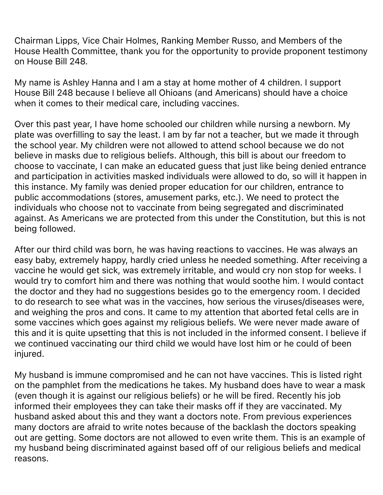Chairman Lipps, Vice Chair Holmes, Ranking Member Russo, and Members of the House Health Committee, thank you for the opportunity to provide proponent testimony on House Bill 248.

My name is Ashley Hanna and I am a stay at home mother of 4 children. I support House Bill 248 because I believe all Ohioans (and Americans) should have a choice when it comes to their medical care, including vaccines.

Over this past year, I have home schooled our children while nursing a newborn. My plate was overfilling to say the least. I am by far not a teacher, but we made it through the school year. My children were not allowed to attend school because we do not believe in masks due to religious beliefs. Although, this bill is about our freedom to choose to vaccinate, I can make an educated guess that just like being denied entrance and participation in activities masked individuals were allowed to do, so will it happen in this instance. My family was denied proper education for our children, entrance to public accommodations (stores, amusement parks, etc.). We need to protect the individuals who choose not to vaccinate from being segregated and discriminated against. As Americans we are protected from this under the Constitution, but this is not being followed.

After our third child was born, he was having reactions to vaccines. He was always an easy baby, extremely happy, hardly cried unless he needed something. After receiving a vaccine he would get sick, was extremely irritable, and would cry non stop for weeks. I would try to comfort him and there was nothing that would soothe him. I would contact the doctor and they had no suggestions besides go to the emergency room. I decided to do research to see what was in the vaccines, how serious the viruses/diseases were, and weighing the pros and cons. It came to my attention that aborted fetal cells are in some vaccines which goes against my religious beliefs. We were never made aware of this and it is quite upsetting that this is not included in the informed consent. I believe if we continued vaccinating our third child we would have lost him or he could of been injured.

My husband is immune compromised and he can not have vaccines. This is listed right on the pamphlet from the medications he takes. My husband does have to wear a mask (even though it is against our religious beliefs) or he will be fired. Recently his job informed their employees they can take their masks off if they are vaccinated. My husband asked about this and they want a doctors note. From previous experiences many doctors are afraid to write notes because of the backlash the doctors speaking out are getting. Some doctors are not allowed to even write them. This is an example of my husband being discriminated against based off of our religious beliefs and medical reasons.